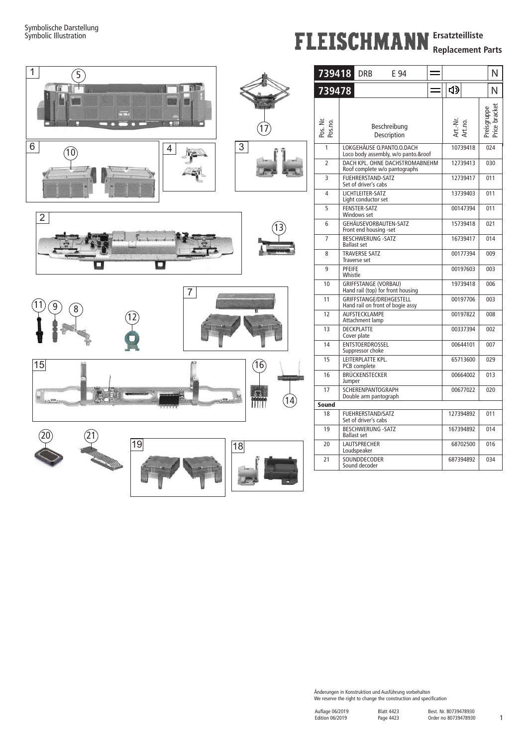## **FLEISCHMANN** Ersatzteilliste

**Replacement Parts**



| 4》<br>Ν<br>Art.-Nr.<br>Art.no.<br>Beschreibung<br>Price I<br>Description<br>LOKGEHÄUSE O.PANTO.O.DACH<br>1<br>10739418<br>024<br>Loco body assembly, w/o panto.&roof<br>DACH KPL. OHNE DACHSTROMABNEHM<br>12739413<br>2<br>030<br>Roof complete w/o pantographs<br>FUEHRERSTAND-SATZ<br>3<br>12739417<br>011<br>Set of driver's cabs<br>LICHTLEITER-SATZ<br>4<br>13739403<br>011<br>Light conductor set<br><b>FENSTER-SATZ</b><br>5<br>00147394<br>011<br>Windows set<br>GEHÄUSEVORBAUTEN-SATZ<br>15739418<br>021<br>6<br>Front end housing -set<br><b>BESCHWERUNG -SATZ</b><br>7<br>16739417<br>014<br><b>Ballast set</b><br><b>TRAVERSE SATZ</b><br>00177394<br>8<br>009<br>Traverse set<br>PFEIFE<br>9<br>00197603<br>003<br>Whistle<br>GRIFFSTANGE (VORBAU)<br>10<br>19739418<br>006<br>Hand rail (top) for front housing<br>GRIFFSTANGE/DREHGESTELL<br>11<br>00197706<br>603<br>Hand rail on front of bogie assy<br>12<br>AUFSTECKLAMPE<br>00197822<br>008<br>Attachment lamp<br>13<br>DECKPLATTE<br>00337394<br>002<br>Cover plate<br>ENTSTOERDROSSEL<br>14<br>00644101<br>007<br>Suppressor choke<br>LEITERPLATTE KPL.<br>15<br>65713600<br>029<br>PCB complete<br>16<br>BRÜCKENSTECKER<br>00664002<br>013<br>Jumper<br>17<br>SCHERENPANTOGRAPH<br>00677022<br>020<br>Double arm pantograph<br><b>FUEHRERSTAND/SATZ</b><br>127394892<br>011<br>18<br>Set of driver's cabs<br><b>BESCHWERUNG -SATZ</b><br>19<br>167394892<br>014<br><b>Ballast set</b> | 739418 |  | DRB | E 94 |  |  |  |  |  | N |
|--------------------------------------------------------------------------------------------------------------------------------------------------------------------------------------------------------------------------------------------------------------------------------------------------------------------------------------------------------------------------------------------------------------------------------------------------------------------------------------------------------------------------------------------------------------------------------------------------------------------------------------------------------------------------------------------------------------------------------------------------------------------------------------------------------------------------------------------------------------------------------------------------------------------------------------------------------------------------------------------------------------------------------------------------------------------------------------------------------------------------------------------------------------------------------------------------------------------------------------------------------------------------------------------------------------------------------------------------------------------------------------------------------------------------------------------------------------|--------|--|-----|------|--|--|--|--|--|---|
| Pos. Nr.<br>Pos.no.<br>Sound                                                                                                                                                                                                                                                                                                                                                                                                                                                                                                                                                                                                                                                                                                                                                                                                                                                                                                                                                                                                                                                                                                                                                                                                                                                                                                                                                                                                                                 | 739478 |  |     |      |  |  |  |  |  |   |
|                                                                                                                                                                                                                                                                                                                                                                                                                                                                                                                                                                                                                                                                                                                                                                                                                                                                                                                                                                                                                                                                                                                                                                                                                                                                                                                                                                                                                                                              |        |  |     |      |  |  |  |  |  |   |
|                                                                                                                                                                                                                                                                                                                                                                                                                                                                                                                                                                                                                                                                                                                                                                                                                                                                                                                                                                                                                                                                                                                                                                                                                                                                                                                                                                                                                                                              |        |  |     |      |  |  |  |  |  |   |
|                                                                                                                                                                                                                                                                                                                                                                                                                                                                                                                                                                                                                                                                                                                                                                                                                                                                                                                                                                                                                                                                                                                                                                                                                                                                                                                                                                                                                                                              |        |  |     |      |  |  |  |  |  |   |
|                                                                                                                                                                                                                                                                                                                                                                                                                                                                                                                                                                                                                                                                                                                                                                                                                                                                                                                                                                                                                                                                                                                                                                                                                                                                                                                                                                                                                                                              |        |  |     |      |  |  |  |  |  |   |
|                                                                                                                                                                                                                                                                                                                                                                                                                                                                                                                                                                                                                                                                                                                                                                                                                                                                                                                                                                                                                                                                                                                                                                                                                                                                                                                                                                                                                                                              |        |  |     |      |  |  |  |  |  |   |
|                                                                                                                                                                                                                                                                                                                                                                                                                                                                                                                                                                                                                                                                                                                                                                                                                                                                                                                                                                                                                                                                                                                                                                                                                                                                                                                                                                                                                                                              |        |  |     |      |  |  |  |  |  |   |
|                                                                                                                                                                                                                                                                                                                                                                                                                                                                                                                                                                                                                                                                                                                                                                                                                                                                                                                                                                                                                                                                                                                                                                                                                                                                                                                                                                                                                                                              |        |  |     |      |  |  |  |  |  |   |
|                                                                                                                                                                                                                                                                                                                                                                                                                                                                                                                                                                                                                                                                                                                                                                                                                                                                                                                                                                                                                                                                                                                                                                                                                                                                                                                                                                                                                                                              |        |  |     |      |  |  |  |  |  |   |
|                                                                                                                                                                                                                                                                                                                                                                                                                                                                                                                                                                                                                                                                                                                                                                                                                                                                                                                                                                                                                                                                                                                                                                                                                                                                                                                                                                                                                                                              |        |  |     |      |  |  |  |  |  |   |
|                                                                                                                                                                                                                                                                                                                                                                                                                                                                                                                                                                                                                                                                                                                                                                                                                                                                                                                                                                                                                                                                                                                                                                                                                                                                                                                                                                                                                                                              |        |  |     |      |  |  |  |  |  |   |
|                                                                                                                                                                                                                                                                                                                                                                                                                                                                                                                                                                                                                                                                                                                                                                                                                                                                                                                                                                                                                                                                                                                                                                                                                                                                                                                                                                                                                                                              |        |  |     |      |  |  |  |  |  |   |
|                                                                                                                                                                                                                                                                                                                                                                                                                                                                                                                                                                                                                                                                                                                                                                                                                                                                                                                                                                                                                                                                                                                                                                                                                                                                                                                                                                                                                                                              |        |  |     |      |  |  |  |  |  |   |
|                                                                                                                                                                                                                                                                                                                                                                                                                                                                                                                                                                                                                                                                                                                                                                                                                                                                                                                                                                                                                                                                                                                                                                                                                                                                                                                                                                                                                                                              |        |  |     |      |  |  |  |  |  |   |
|                                                                                                                                                                                                                                                                                                                                                                                                                                                                                                                                                                                                                                                                                                                                                                                                                                                                                                                                                                                                                                                                                                                                                                                                                                                                                                                                                                                                                                                              |        |  |     |      |  |  |  |  |  |   |
|                                                                                                                                                                                                                                                                                                                                                                                                                                                                                                                                                                                                                                                                                                                                                                                                                                                                                                                                                                                                                                                                                                                                                                                                                                                                                                                                                                                                                                                              |        |  |     |      |  |  |  |  |  |   |
|                                                                                                                                                                                                                                                                                                                                                                                                                                                                                                                                                                                                                                                                                                                                                                                                                                                                                                                                                                                                                                                                                                                                                                                                                                                                                                                                                                                                                                                              |        |  |     |      |  |  |  |  |  |   |
|                                                                                                                                                                                                                                                                                                                                                                                                                                                                                                                                                                                                                                                                                                                                                                                                                                                                                                                                                                                                                                                                                                                                                                                                                                                                                                                                                                                                                                                              |        |  |     |      |  |  |  |  |  |   |
|                                                                                                                                                                                                                                                                                                                                                                                                                                                                                                                                                                                                                                                                                                                                                                                                                                                                                                                                                                                                                                                                                                                                                                                                                                                                                                                                                                                                                                                              |        |  |     |      |  |  |  |  |  |   |
|                                                                                                                                                                                                                                                                                                                                                                                                                                                                                                                                                                                                                                                                                                                                                                                                                                                                                                                                                                                                                                                                                                                                                                                                                                                                                                                                                                                                                                                              |        |  |     |      |  |  |  |  |  |   |
|                                                                                                                                                                                                                                                                                                                                                                                                                                                                                                                                                                                                                                                                                                                                                                                                                                                                                                                                                                                                                                                                                                                                                                                                                                                                                                                                                                                                                                                              |        |  |     |      |  |  |  |  |  |   |
|                                                                                                                                                                                                                                                                                                                                                                                                                                                                                                                                                                                                                                                                                                                                                                                                                                                                                                                                                                                                                                                                                                                                                                                                                                                                                                                                                                                                                                                              |        |  |     |      |  |  |  |  |  |   |
| <b>LAUTSPRECHER</b><br>20<br>68702500<br>016<br>Loudspeaker                                                                                                                                                                                                                                                                                                                                                                                                                                                                                                                                                                                                                                                                                                                                                                                                                                                                                                                                                                                                                                                                                                                                                                                                                                                                                                                                                                                                  |        |  |     |      |  |  |  |  |  |   |
| SOUNDDECODER<br>21<br>687394892<br>034<br>Sound decoder                                                                                                                                                                                                                                                                                                                                                                                                                                                                                                                                                                                                                                                                                                                                                                                                                                                                                                                                                                                                                                                                                                                                                                                                                                                                                                                                                                                                      |        |  |     |      |  |  |  |  |  |   |

Änderungen in Konstruktion und Ausführung vorbehalten We reserve the right to change the construction and specification